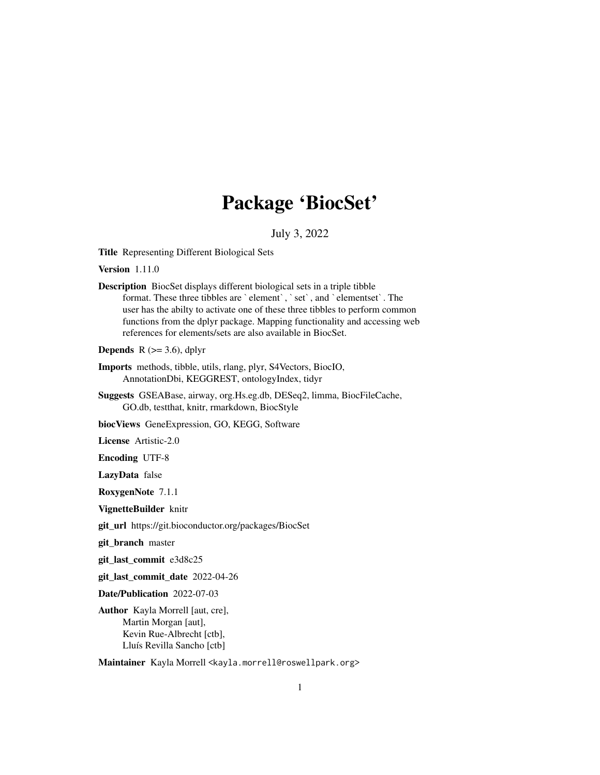## Package 'BiocSet'

### July 3, 2022

Title Representing Different Biological Sets

Version 1.11.0

Description BiocSet displays different biological sets in a triple tibble format. These three tibbles are `element`, `set`, and `elementset`. The user has the abilty to activate one of these three tibbles to perform common functions from the dplyr package. Mapping functionality and accessing web references for elements/sets are also available in BiocSet.

**Depends** R  $(>= 3.6)$ , dplyr

- Imports methods, tibble, utils, rlang, plyr, S4Vectors, BiocIO, AnnotationDbi, KEGGREST, ontologyIndex, tidyr
- Suggests GSEABase, airway, org.Hs.eg.db, DESeq2, limma, BiocFileCache, GO.db, testthat, knitr, rmarkdown, BiocStyle

biocViews GeneExpression, GO, KEGG, Software

License Artistic-2.0

Encoding UTF-8

LazyData false

RoxygenNote 7.1.1

VignetteBuilder knitr

git\_url https://git.bioconductor.org/packages/BiocSet

git\_branch master

git\_last\_commit e3d8c25

git\_last\_commit\_date 2022-04-26

Date/Publication 2022-07-03

Author Kayla Morrell [aut, cre], Martin Morgan [aut], Kevin Rue-Albrecht [ctb], Lluís Revilla Sancho [ctb]

Maintainer Kayla Morrell <kayla.morrell@roswellpark.org>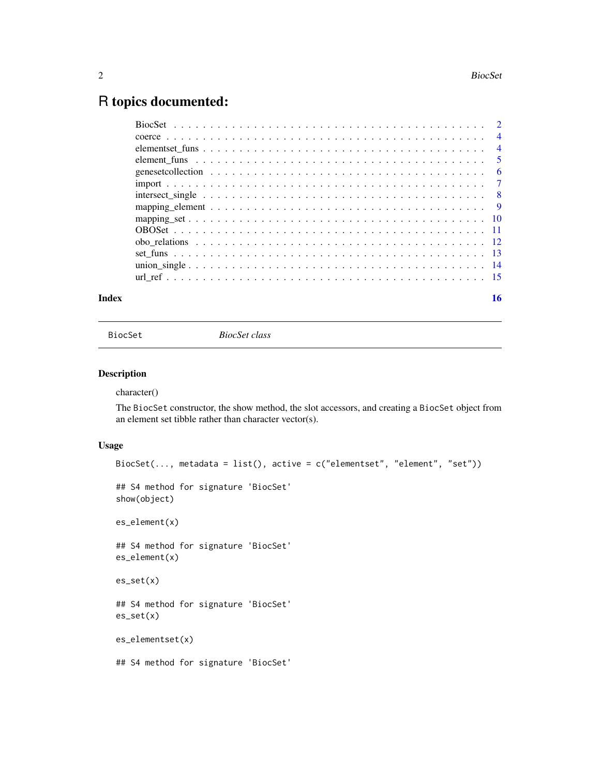## <span id="page-1-0"></span>R topics documented:

| Index | 16 |
|-------|----|

BiocSet *BiocSet class*

### Description

character()

The BiocSet constructor, the show method, the slot accessors, and creating a BiocSet object from an element set tibble rather than character vector(s).

### Usage

```
BiocSet(..., metadata = list(), active = c("elementset", "element", "set"))
## S4 method for signature 'BiocSet'
show(object)
es_element(x)
## S4 method for signature 'BiocSet'
es_element(x)
es_set(x)
## S4 method for signature 'BiocSet'
es_set(x)
es_elementset(x)
## S4 method for signature 'BiocSet'
```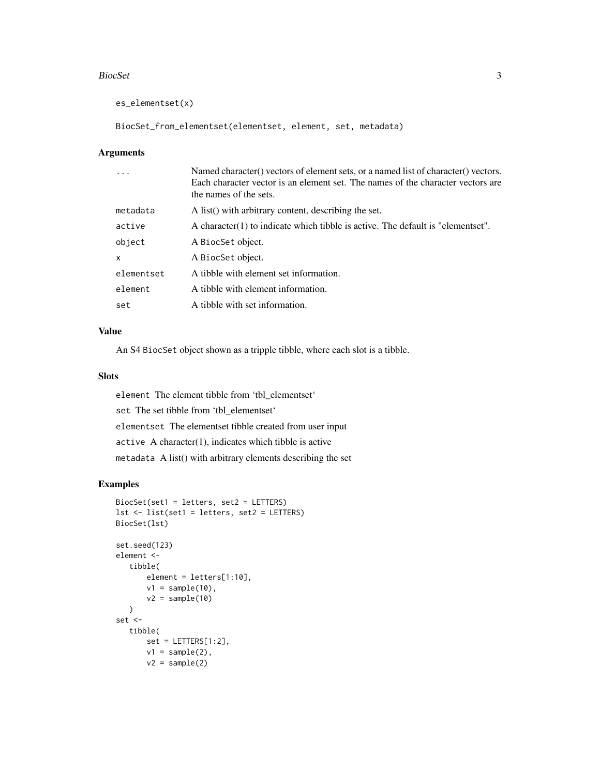#### BiocSet 3

es\_elementset(x)

```
BiocSet_from_elementset(elementset, element, set, metadata)
```
### Arguments

|              | Named character() vectors of element sets, or a named list of character() vectors.<br>Each character vector is an element set. The names of the character vectors are<br>the names of the sets. |
|--------------|-------------------------------------------------------------------------------------------------------------------------------------------------------------------------------------------------|
| metadata     | A list() with arbitrary content, describing the set.                                                                                                                                            |
| active       | A character(1) to indicate which tibble is active. The default is "element set".                                                                                                                |
| object       | A BiocSet object.                                                                                                                                                                               |
| $\mathsf{x}$ | A BiocSet object.                                                                                                                                                                               |
| elementset   | A tibble with element set information.                                                                                                                                                          |
| element      | A tibble with element information.                                                                                                                                                              |
| set          | A tibble with set information.                                                                                                                                                                  |

### Value

An S4 BiocSet object shown as a tripple tibble, where each slot is a tibble.

### Slots

element The element tibble from 'tbl\_elementset' set The set tibble from 'tbl\_elementset' elementset The elementset tibble created from user input active A character(1), indicates which tibble is active metadata A list() with arbitrary elements describing the set

### Examples

```
BiocSet(set1 = letters, set2 = LETTERS)
lst <- list(set1 = letters, set2 = LETTERS)
BiocSet(lst)
set.seed(123)
element <-
   tibble(
      element = letters[1:10],
       v1 = sample(10),
       v2 = sample(10))
set <-
   tibble(
       set = LETTERS[1:2],v1 = sample(2),
       v2 = sample(2)
```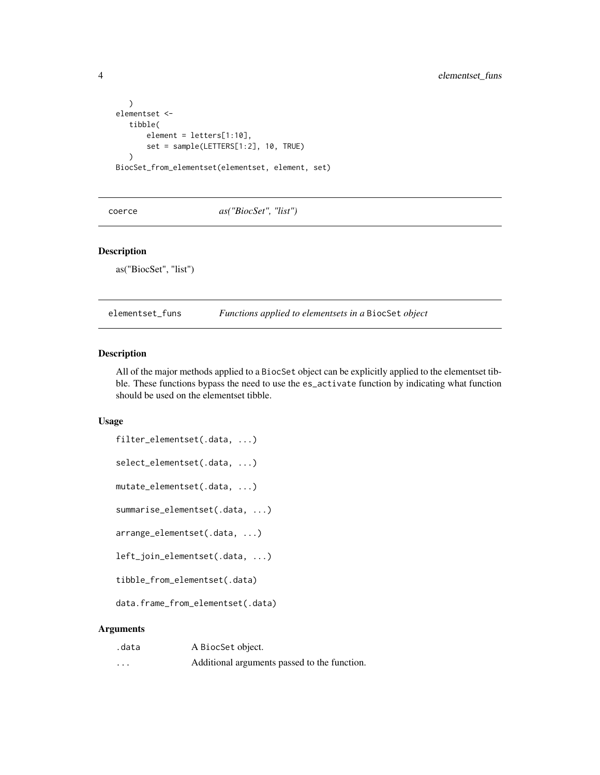```
)
elementset <-
   tibble(
       element = letters[1:10],
       set = sample(LETTERS[1:2], 10, TRUE)
   \mathcal{L}BiocSet_from_elementset(elementset, element, set)
```
coerce *as("BiocSet", "list")*

#### Description

as("BiocSet", "list")

elementset\_funs *Functions applied to elementsets in a* BiocSet *object*

#### Description

All of the major methods applied to a BiocSet object can be explicitly applied to the elementset tibble. These functions bypass the need to use the es\_activate function by indicating what function should be used on the elementset tibble.

### Usage

```
filter_elementset(.data, ...)
select_elementset(.data, ...)
mutate_elementset(.data, ...)
summarise_elementset(.data, ...)
arrange_elementset(.data, ...)
left_join_elementset(.data, ...)
tibble_from_elementset(.data)
data.frame_from_elementset(.data)
```

| .data    | A BiocSet object.                            |
|----------|----------------------------------------------|
| $\cdots$ | Additional arguments passed to the function. |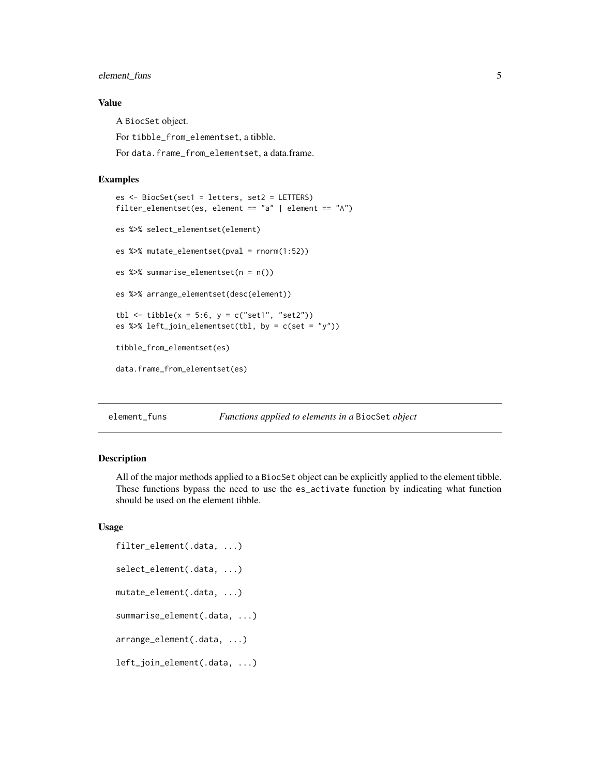### <span id="page-4-0"></span>element\_funs 5

### Value

A BiocSet object. For tibble\_from\_elementset, a tibble. For data.frame\_from\_elementset, a data.frame.

#### Examples

```
es <- BiocSet(set1 = letters, set2 = LETTERS)
filter_elementset(es, element == "a" | element == "A")
es %>% select_elementset(element)
es %>% mutate_elementset(pval = rnorm(1:52))
es %>% summarise_elementset(n = n())
es %>% arrange_elementset(desc(element))
tbl <- tibble(x = 5:6, y = c("set1", "set2"))es %>% left_join_elementset(tbl, by = c(set = "y"))
tibble_from_elementset(es)
data.frame_from_elementset(es)
```
element\_funs *Functions applied to elements in a* BiocSet *object*

#### Description

All of the major methods applied to a BiocSet object can be explicitly applied to the element tibble. These functions bypass the need to use the es\_activate function by indicating what function should be used on the element tibble.

#### Usage

```
filter_element(.data, ...)
select_element(.data, ...)
mutate_element(.data, ...)
summarise_element(.data, ...)
arrange_element(.data, ...)
left_join_element(.data, ...)
```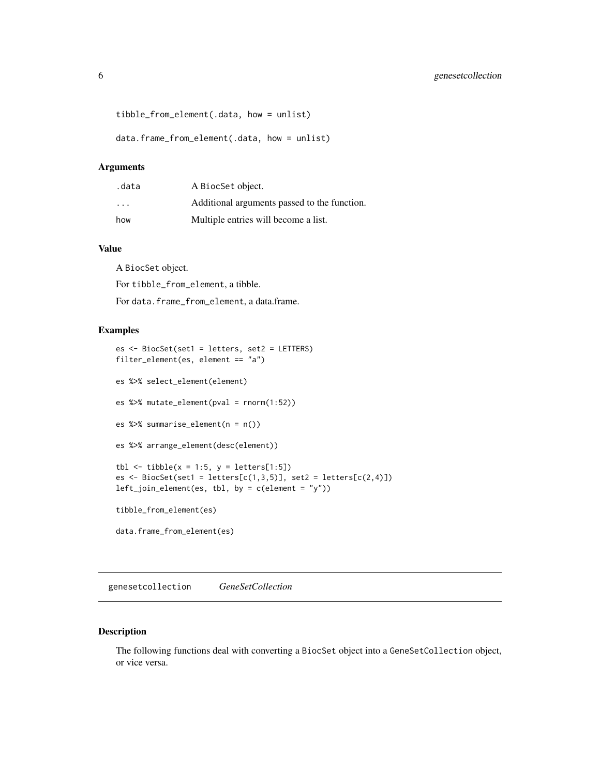```
tibble_from_element(.data, how = unlist)
```
data.frame\_from\_element(.data, how = unlist)

#### Arguments

| .data | A BiocSet object.                            |
|-------|----------------------------------------------|
| .     | Additional arguments passed to the function. |
| how   | Multiple entries will become a list.         |

### Value

A BiocSet object.

For tibble\_from\_element, a tibble.

For data.frame\_from\_element, a data.frame.

#### Examples

```
es <- BiocSet(set1 = letters, set2 = LETTERS)
filter_element(es, element == "a")
es %>% select_element(element)
es %>% mutate_element(pval = rnorm(1:52))
es %>% summarise_element(n = n())
es %>% arrange_element(desc(element))
tbl \le tibble(x = 1:5, y = letters[1:5])
es \leq BiocSet(set1 = letters[c(1,3,5)], set2 = letters[c(2,4)])
left_join_element(es, tbl, by = c(element = "y"))
tibble_from_element(es)
data.frame_from_element(es)
```
genesetcollection *GeneSetCollection*

### Description

The following functions deal with converting a BiocSet object into a GeneSetCollection object, or vice versa.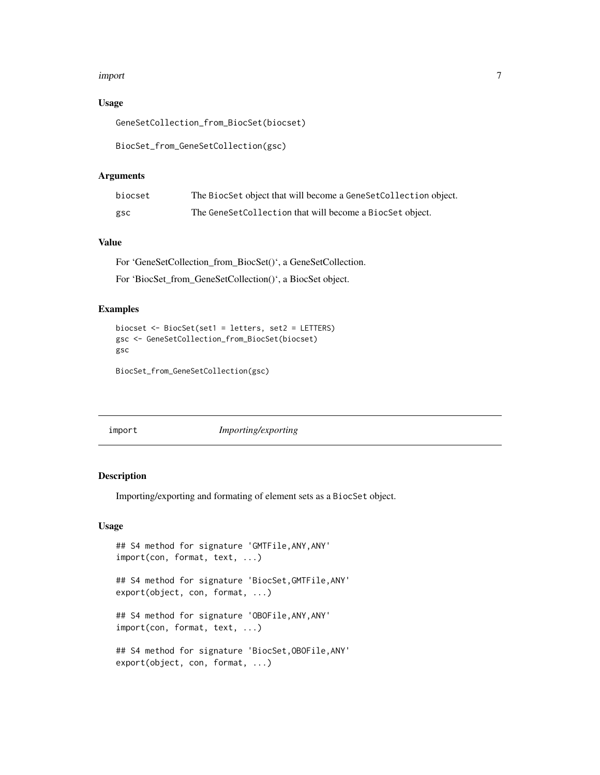#### <span id="page-6-0"></span>import 7

### Usage

GeneSetCollection\_from\_BiocSet(biocset)

```
BiocSet_from_GeneSetCollection(gsc)
```
#### Arguments

| biocset | The BiocSet object that will become a GeneSetCollection object. |
|---------|-----------------------------------------------------------------|
| gsc     | The GeneSetCollection that will become a BiocSet object.        |

### Value

For 'GeneSetCollection\_from\_BiocSet()', a GeneSetCollection.

For 'BiocSet\_from\_GeneSetCollection()', a BiocSet object.

#### Examples

```
biocset <- BiocSet(set1 = letters, set2 = LETTERS)
gsc <- GeneSetCollection_from_BiocSet(biocset)
gsc
```
BiocSet\_from\_GeneSetCollection(gsc)

import *Importing/exporting*

### Description

Importing/exporting and formating of element sets as a BiocSet object.

### Usage

```
## S4 method for signature 'GMTFile,ANY,ANY'
import(con, format, text, ...)
## S4 method for signature 'BiocSet,GMTFile,ANY'
export(object, con, format, ...)
## S4 method for signature 'OBOFile,ANY,ANY'
import(con, format, text, ...)
## S4 method for signature 'BiocSet,OBOFile,ANY'
export(object, con, format, ...)
```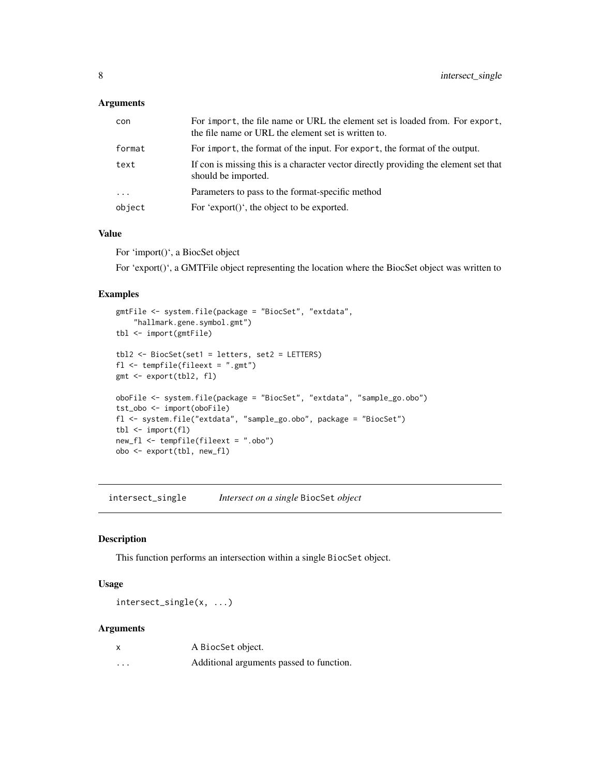### <span id="page-7-0"></span>Arguments

| con        | For import, the file name or URL the element set is loaded from. For export,<br>the file name or URL the element set is written to. |
|------------|-------------------------------------------------------------------------------------------------------------------------------------|
| format     | For import, the format of the input. For export, the format of the output.                                                          |
| text       | If con is missing this is a character vector directly providing the element set that<br>should be imported.                         |
| $\ddots$ . | Parameters to pass to the format-specific method                                                                                    |
| object     | For 'export()', the object to be exported.                                                                                          |

### Value

For 'import()', a BiocSet object

For 'export()', a GMTFile object representing the location where the BiocSet object was written to

### Examples

```
gmtFile <- system.file(package = "BiocSet", "extdata",
    "hallmark.gene.symbol.gmt")
tbl <- import(gmtFile)
tbl2 <- BiocSet(set1 = letters, set2 = LETTERS)
fl <- tempfile(fileext = ".gmt")
gmt <- export(tbl2, fl)
oboFile <- system.file(package = "BiocSet", "extdata", "sample_go.obo")
tst_obo <- import(oboFile)
fl <- system.file("extdata", "sample_go.obo", package = "BiocSet")
tbl <- import(fl)
new_fl <- tempfile(fileext = ".obo")
obo <- export(tbl, new_fl)
```
intersect\_single *Intersect on a single* BiocSet *object*

### Description

This function performs an intersection within a single BiocSet object.

### Usage

intersect\_single(x, ...)

| X        | A BiocSet object.                        |
|----------|------------------------------------------|
| $\cdots$ | Additional arguments passed to function. |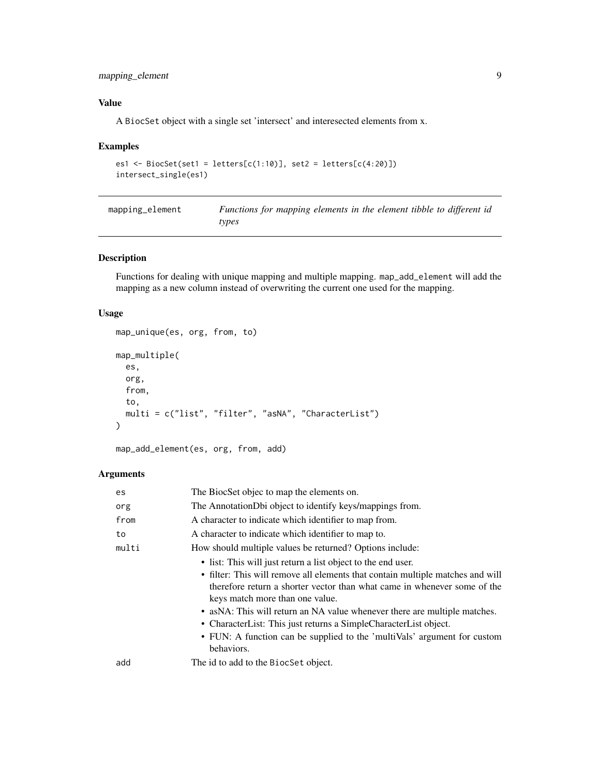### <span id="page-8-0"></span>mapping\_element 9

### Value

A BiocSet object with a single set 'intersect' and interesected elements from x.

### Examples

```
es1 <- BiocSet(set1 = letters[c(1:10)], set2 = letters[c(4:20)])
intersect_single(es1)
```

| mapping_element | Functions for mapping elements in the element tibble to different id |
|-----------------|----------------------------------------------------------------------|
|                 | types                                                                |

### Description

Functions for dealing with unique mapping and multiple mapping. map\_add\_element will add the mapping as a new column instead of overwriting the current one used for the mapping.

### Usage

```
map_unique(es, org, from, to)
map_multiple(
  es,
 org,
  from,
  to,
 multi = c("list", "filter", "asNA", "CharacterList")
)
```

```
map_add_element(es, org, from, add)
```

| es    | The BiocSet objec to map the elements on.                                                                                                                                                     |
|-------|-----------------------------------------------------------------------------------------------------------------------------------------------------------------------------------------------|
| org   | The AnnotationDbi object to identify keys/mappings from.                                                                                                                                      |
| from  | A character to indicate which identifier to map from.                                                                                                                                         |
| to    | A character to indicate which identifier to map to.                                                                                                                                           |
| multi | How should multiple values be returned? Options include:                                                                                                                                      |
|       | • list: This will just return a list object to the end user.                                                                                                                                  |
|       | • filter: This will remove all elements that contain multiple matches and will<br>therefore return a shorter vector than what came in whenever some of the<br>keys match more than one value. |
|       | • as NA: This will return an NA value whenever there are multiple matches.                                                                                                                    |
|       | • CharacterList: This just returns a SimpleCharacterList object.                                                                                                                              |
|       | • FUN: A function can be supplied to the 'multiVals' argument for custom<br>behaviors.                                                                                                        |
| add   | The id to add to the BiocSet object.                                                                                                                                                          |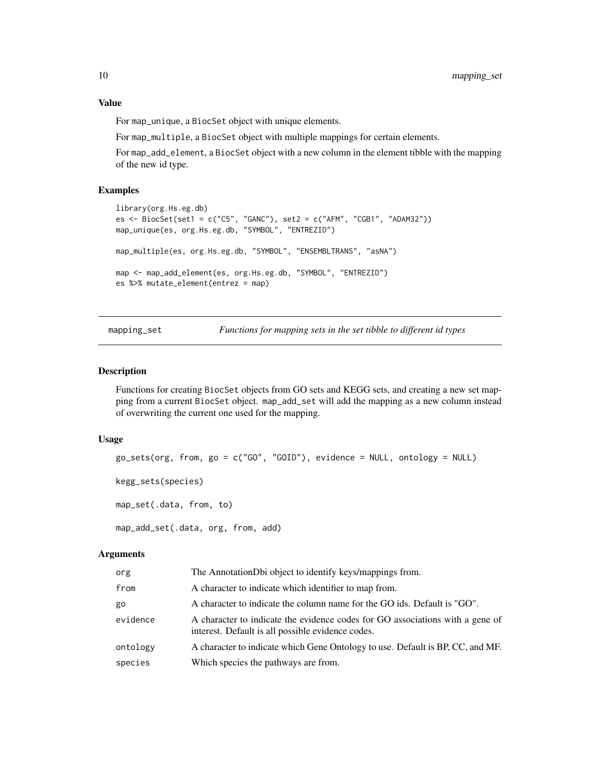<span id="page-9-0"></span>Value

For map\_unique, a BiocSet object with unique elements.

For map\_multiple, a BiocSet object with multiple mappings for certain elements.

For map\_add\_element, a BiocSet object with a new column in the element tibble with the mapping of the new id type.

### Examples

```
library(org.Hs.eg.db)
es <- BiocSet(set1 = c("C5", "GANC"), set2 = c("AFM", "CGB1", "ADAM32"))
map_unique(es, org.Hs.eg.db, "SYMBOL", "ENTREZID")
map_multiple(es, org.Hs.eg.db, "SYMBOL", "ENSEMBLTRANS", "asNA")
map <- map_add_element(es, org.Hs.eg.db, "SYMBOL", "ENTREZID")
es %>% mutate_element(entrez = map)
```
mapping\_set *Functions for mapping sets in the set tibble to different id types*

#### Description

Functions for creating BiocSet objects from GO sets and KEGG sets, and creating a new set mapping from a current BiocSet object. map\_add\_set will add the mapping as a new column instead of overwriting the current one used for the mapping.

#### Usage

```
go_sets(org, from, go = c("G0", "GOLD"), evidence = NULL, ontology = NULL)kegg_sets(species)
map_set(.data, from, to)
map_add_set(.data, org, from, add)
```

| org      | The AnnotationDbi object to identify keys/mappings from.                                                                           |
|----------|------------------------------------------------------------------------------------------------------------------------------------|
| from     | A character to indicate which identifier to map from.                                                                              |
| go       | A character to indicate the column name for the GO ids. Default is "GO".                                                           |
| evidence | A character to indicate the evidence codes for GO associations with a gene of<br>interest. Default is all possible evidence codes. |
| ontology | A character to indicate which Gene Ontology to use. Default is BP, CC, and MF.                                                     |
| species  | Which species the pathways are from.                                                                                               |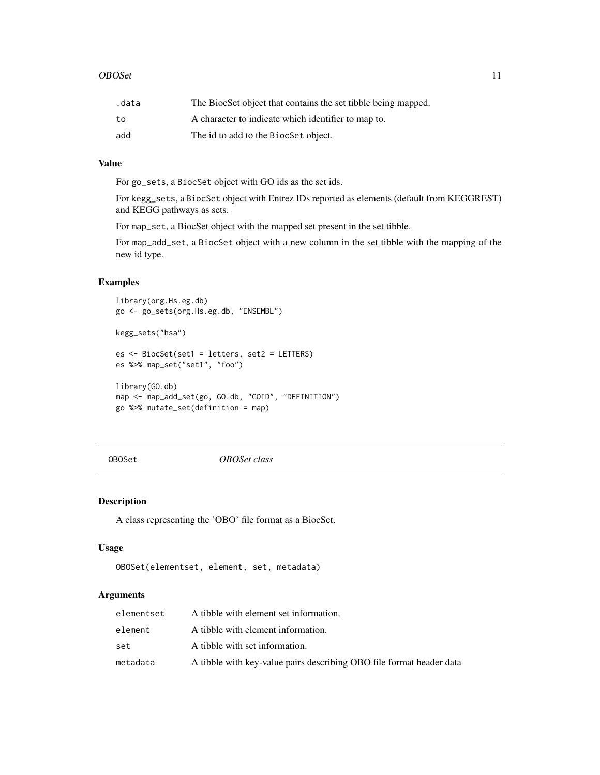#### <span id="page-10-0"></span> $OBOS$ et 11

| .data | The BiocSet object that contains the set tibble being mapped. |
|-------|---------------------------------------------------------------|
| to    | A character to indicate which identifier to map to.           |
| add   | The id to add to the BiocSet object.                          |

### Value

For go\_sets, a BiocSet object with GO ids as the set ids.

For kegg\_sets, a BiocSet object with Entrez IDs reported as elements (default from KEGGREST) and KEGG pathways as sets.

For map\_set, a BiocSet object with the mapped set present in the set tibble.

For map\_add\_set, a BiocSet object with a new column in the set tibble with the mapping of the new id type.

### Examples

```
library(org.Hs.eg.db)
go <- go_sets(org.Hs.eg.db, "ENSEMBL")
kegg_sets("hsa")
es <- BiocSet(set1 = letters, set2 = LETTERS)
es %>% map_set("set1", "foo")
library(GO.db)
map <- map_add_set(go, GO.db, "GOID", "DEFINITION")
go %>% mutate_set(definition = map)
```
OBOSet *OBOSet class*

### Description

A class representing the 'OBO' file format as a BiocSet.

### Usage

```
OBOSet(elementset, element, set, metadata)
```

| elementset | A tibble with element set information.                               |
|------------|----------------------------------------------------------------------|
| element    | A tibble with element information.                                   |
| set        | A tibble with set information.                                       |
| metadata   | A tibble with key-value pairs describing OBO file format header data |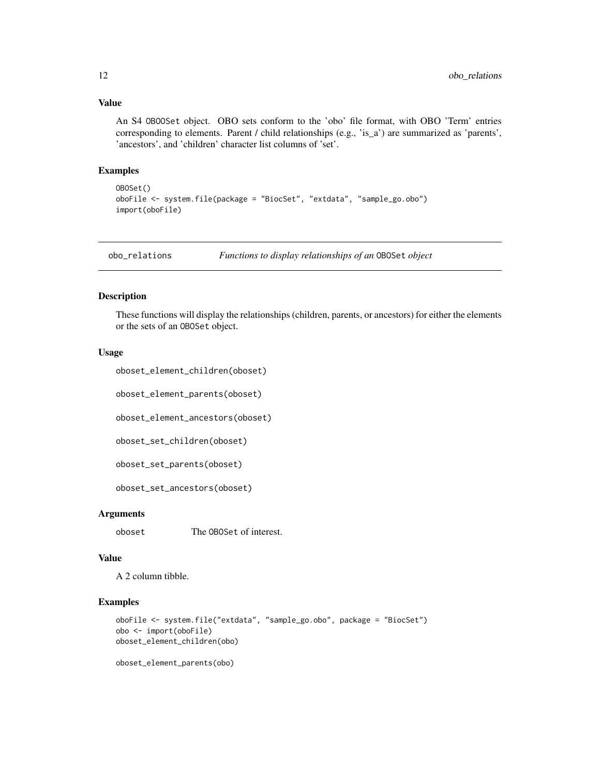### <span id="page-11-0"></span>Value

An S4 OBOOSet object. OBO sets conform to the 'obo' file format, with OBO 'Term' entries corresponding to elements. Parent / child relationships (e.g., 'is\_a') are summarized as 'parents', 'ancestors', and 'children' character list columns of 'set'.

### Examples

```
OBOSet()
oboFile <- system.file(package = "BiocSet", "extdata", "sample_go.obo")
import(oboFile)
```
obo\_relations *Functions to display relationships of an* OBOSet *object*

### Description

These functions will display the relationships (children, parents, or ancestors) for either the elements or the sets of an OBOSet object.

#### Usage

```
oboset_element_children(oboset)
```
oboset\_element\_parents(oboset)

oboset\_element\_ancestors(oboset)

oboset\_set\_children(oboset)

oboset\_set\_parents(oboset)

oboset\_set\_ancestors(oboset)

#### **Arguments**

oboset The OBOSet of interest.

#### Value

A 2 column tibble.

### Examples

```
oboFile <- system.file("extdata", "sample_go.obo", package = "BiocSet")
obo <- import(oboFile)
oboset_element_children(obo)
```
oboset\_element\_parents(obo)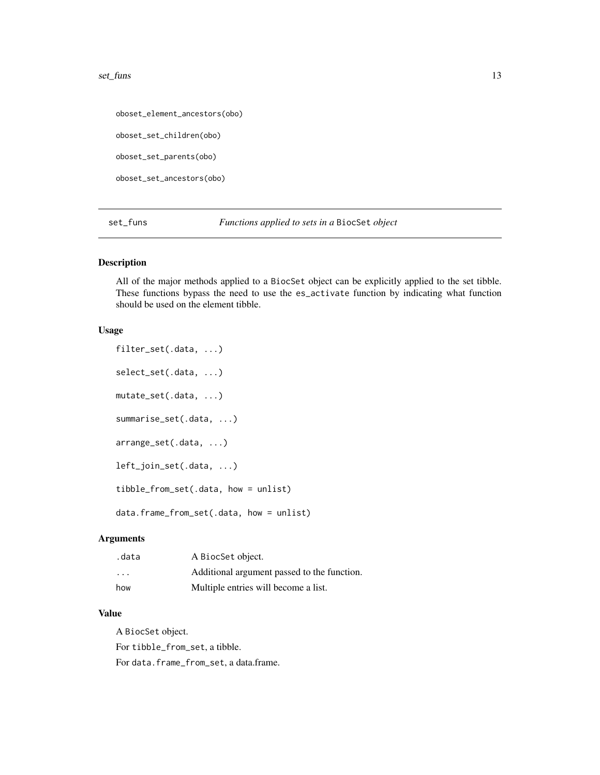#### <span id="page-12-0"></span>set\_funs 13

oboset\_element\_ancestors(obo)

oboset\_set\_children(obo)

oboset\_set\_parents(obo)

oboset\_set\_ancestors(obo)

set\_funs *Functions applied to sets in a* BiocSet *object*

### Description

All of the major methods applied to a BiocSet object can be explicitly applied to the set tibble. These functions bypass the need to use the es\_activate function by indicating what function should be used on the element tibble.

#### Usage

filter\_set(.data, ...) select\_set(.data, ...) mutate\_set(.data, ...) summarise\_set(.data, ...) arrange\_set(.data, ...) left\_join\_set(.data, ...) tibble\_from\_set(.data, how = unlist)

data.frame\_from\_set(.data, how = unlist)

### Arguments

| .data                   | A BiocSet object.                           |
|-------------------------|---------------------------------------------|
| $\cdot$ $\cdot$ $\cdot$ | Additional argument passed to the function. |
| how                     | Multiple entries will become a list.        |

### Value

A BiocSet object.

For tibble\_from\_set, a tibble.

For data.frame\_from\_set, a data.frame.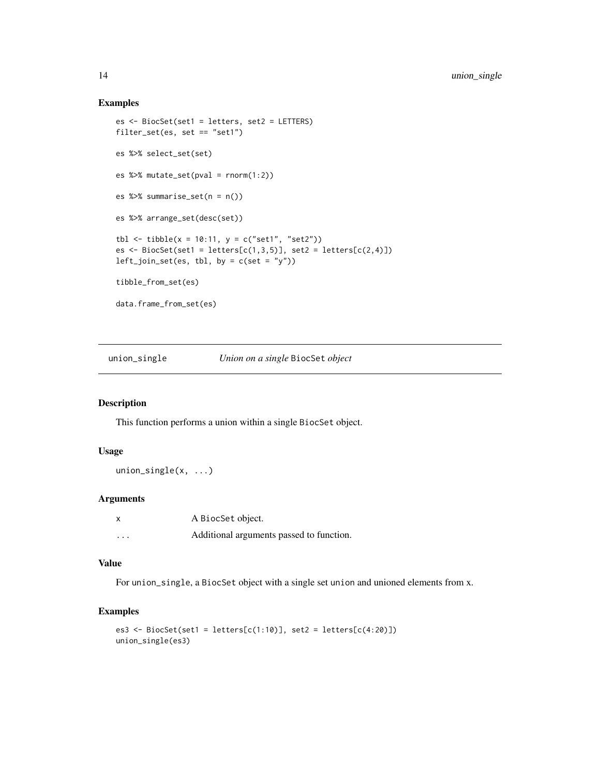#### Examples

```
es <- BiocSet(set1 = letters, set2 = LETTERS)
filter_set(es, set == "set1")
es %>% select_set(set)
es %>% mutate_set(pval = rnorm(1:2))
es %>% summarise_set(n = n())
es %>% arrange_set(desc(set))
tbl <- tibble(x = 10:11, y = c("set1", "set2"))
es \leq BiocSet(set1 = letters[c(1,3,5)], set2 = letters[c(2,4)])
left\_join\_set(es, thl, by = c(set = "y")tibble_from_set(es)
data.frame_from_set(es)
```
union\_single *Union on a single* BiocSet *object*

### Description

This function performs a union within a single BiocSet object.

#### Usage

union\_single(x, ...)

### Arguments

| $\boldsymbol{\mathsf{x}}$ | A BiocSet object.                        |
|---------------------------|------------------------------------------|
| .                         | Additional arguments passed to function. |

### Value

For union\_single, a BiocSet object with a single set union and unioned elements from x.

### Examples

```
es3 <- BiocSet(set1 = letters[c(1:10)], set2 = letters[c(4:20)])
union_single(es3)
```
<span id="page-13-0"></span>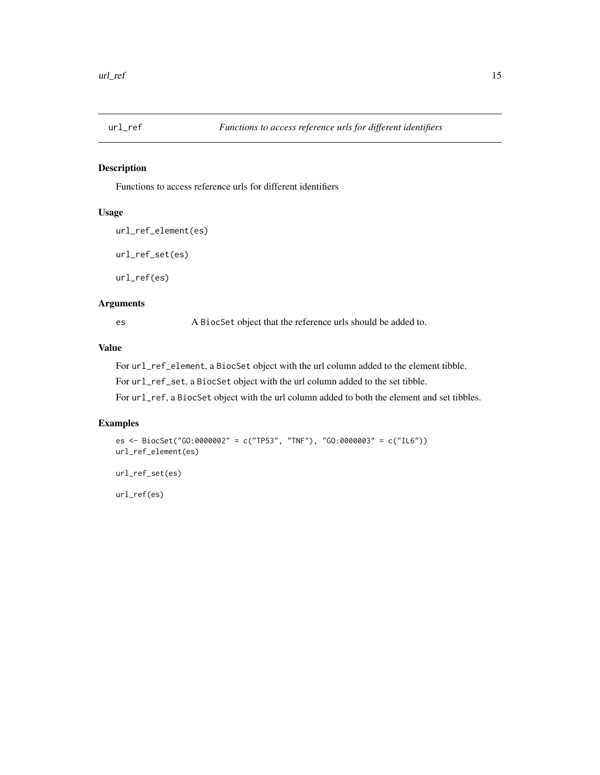<span id="page-14-0"></span>

### Description

Functions to access reference urls for different identifiers

### Usage

```
url_ref_element(es)
url_ref_set(es)
url_ref(es)
```
### Arguments

es A BiocSet object that the reference urls should be added to.

### Value

For url\_ref\_element, a BiocSet object with the url column added to the element tibble.

For url\_ref\_set, a BiocSet object with the url column added to the set tibble.

For url\_ref, a BiocSet object with the url column added to both the element and set tibbles.

### Examples

```
es <- BiocSet("GO:0000002" = c("TP53", "TNF"), "GO:0000003" = c("IL6"))
url_ref_element(es)
url_ref_set(es)
url_ref(es)
```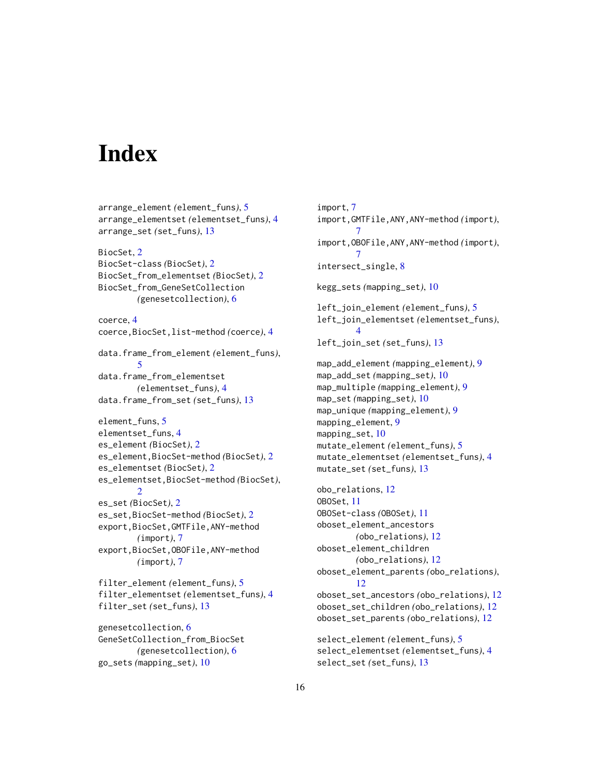# <span id="page-15-0"></span>**Index**

```
arrange_element (element_funs), 5
arrange_elementset (elementset_funs), 4
arrange_set (set_funs), 13
BiocSet, 2
BiocSet-class (BiocSet), 2
BiocSet_from_elementset (BiocSet), 2
BiocSet_from_GeneSetCollection
        (genesetcollection), 6
coerce, 4
coerce,BiocSet,list-method (coerce), 4
data.frame_from_element (element_funs),
        5
data.frame_from_elementset
        (elementset_funs), 4
data.frame_from_set (set_funs), 13
element_funs, 5
elementset_funs, 4
es_element (BiocSet), 2
es_element,BiocSet-method (BiocSet), 2
es_elementset (BiocSet), 2
es_elementset,BiocSet-method (BiocSet),
        2
es_set (BiocSet), 2
es_set,BiocSet-method (BiocSet), 2
export,BiocSet,GMTFile,ANY-method
        (import), 7
export,BiocSet,OBOFile,ANY-method
        (import), 7
filter_element (element_funs), 5
filter_elementset (elementset_funs), 4
filter_set (set_funs), 13
genesetcollection, 6
GeneSetCollection_from_BiocSet
        (genesetcollection), 6
go_sets (mapping_set), 10
```
import, [7](#page-6-0) import,GMTFile,ANY,ANY-method *(*import*)*, [7](#page-6-0) import,OBOFile,ANY,ANY-method *(*import*)*, [7](#page-6-0) intersect\_single, [8](#page-7-0) kegg\_sets *(*mapping\_set*)*, [10](#page-9-0) left\_join\_element *(*element\_funs*)*, [5](#page-4-0) left\_join\_elementset *(*elementset\_funs*)*, [4](#page-3-0) left\_join\_set *(*set\_funs*)*, [13](#page-12-0) map\_add\_element *(*mapping\_element*)*, [9](#page-8-0) map\_add\_set *(*mapping\_set*)*, [10](#page-9-0) map\_multiple *(*mapping\_element*)*, [9](#page-8-0) map\_set *(*mapping\_set*)*, [10](#page-9-0) map\_unique *(*mapping\_element*)*, [9](#page-8-0) mapping\_element, [9](#page-8-0) mapping\_set, [10](#page-9-0) mutate\_element *(*element\_funs*)*, [5](#page-4-0) mutate\_elementset *(*elementset\_funs*)*, [4](#page-3-0) mutate\_set *(*set\_funs*)*, [13](#page-12-0) obo\_relations, [12](#page-11-0) OBOSet, [11](#page-10-0) OBOSet-class *(*OBOSet*)*, [11](#page-10-0) oboset\_element\_ancestors *(*obo\_relations*)*, [12](#page-11-0) oboset\_element\_children *(*obo\_relations*)*, [12](#page-11-0) oboset\_element\_parents *(*obo\_relations*)*, [12](#page-11-0) oboset\_set\_ancestors *(*obo\_relations*)*, [12](#page-11-0) oboset\_set\_children *(*obo\_relations*)*, [12](#page-11-0) oboset\_set\_parents *(*obo\_relations*)*, [12](#page-11-0) select\_element *(*element\_funs*)*, [5](#page-4-0) select\_elementset *(*elementset\_funs*)*, [4](#page-3-0) select\_set *(*set\_funs*)*, [13](#page-12-0)